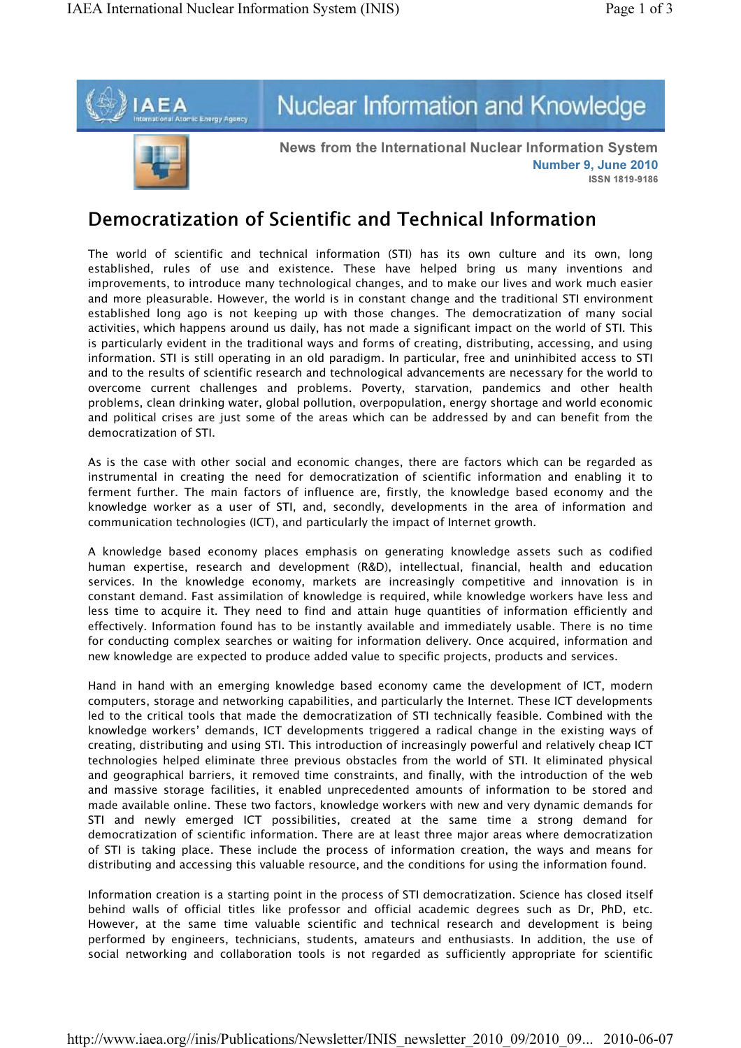

## Nuclear Information and Knowledge



News from the International Nuclear Information System Number 9, June 2010 ISSN 1819-9186

## Democratization of Scientific and Technical Information

The world of scientific and technical information (STI) has its own culture and its own, long established, rules of use and existence. These have helped bring us many inventions and improvements, to introduce many technological changes, and to make our lives and work much easier and more pleasurable. However, the world is in constant change and the traditional STI environment established long ago is not keeping up with those changes. The democratization of many social activities, which happens around us daily, has not made a significant impact on the world of STI. This is particularly evident in the traditional ways and forms of creating, distributing, accessing, and using information. STI is still operating in an old paradigm. In particular, free and uninhibited access to STI and to the results of scientific research and technological advancements are necessary for the world to overcome current challenges and problems. Poverty, starvation, pandemics and other health problems, clean drinking water, global pollution, overpopulation, energy shortage and world economic and political crises are just some of the areas which can be addressed by and can benefit from the democratization of STI.

As is the case with other social and economic changes, there are factors which can be regarded as instrumental in creating the need for democratization of scientific information and enabling it to ferment further. The main factors of influence are, firstly, the knowledge based economy and the knowledge worker as a user of STI, and, secondly, developments in the area of information and communication technologies (ICT), and particularly the impact of Internet growth.

A knowledge based economy places emphasis on generating knowledge assets such as codified human expertise, research and development (R&D), intellectual, financial, health and education services. In the knowledge economy, markets are increasingly competitive and innovation is in constant demand. Fast assimilation of knowledge is required, while knowledge workers have less and less time to acquire it. They need to find and attain huge quantities of information efficiently and effectively. Information found has to be instantly available and immediately usable. There is no time for conducting complex searches or waiting for information delivery. Once acquired, information and new knowledge are expected to produce added value to specific projects, products and services.

Hand in hand with an emerging knowledge based economy came the development of ICT, modern computers, storage and networking capabilities, and particularly the Internet. These ICT developments led to the critical tools that made the democratization of STI technically feasible. Combined with the knowledge workers' demands, ICT developments triggered a radical change in the existing ways of creating, distributing and using STI. This introduction of increasingly powerful and relatively cheap ICT technologies helped eliminate three previous obstacles from the world of STI. It eliminated physical and geographical barriers, it removed time constraints, and finally, with the introduction of the web and massive storage facilities, it enabled unprecedented amounts of information to be stored and made available online. These two factors, knowledge workers with new and very dynamic demands for STI and newly emerged ICT possibilities, created at the same time a strong demand for democratization of scientific information. There are at least three major areas where democratization of STI is taking place. These include the process of information creation, the ways and means for distributing and accessing this valuable resource, and the conditions for using the information found.

Information creation is a starting point in the process of STI democratization. Science has closed itself behind walls of official titles like professor and official academic degrees such as Dr, PhD, etc. However, at the same time valuable scientific and technical research and development is being performed by engineers, technicians, students, amateurs and enthusiasts. In addition, the use of social networking and collaboration tools is not regarded as sufficiently appropriate for scientific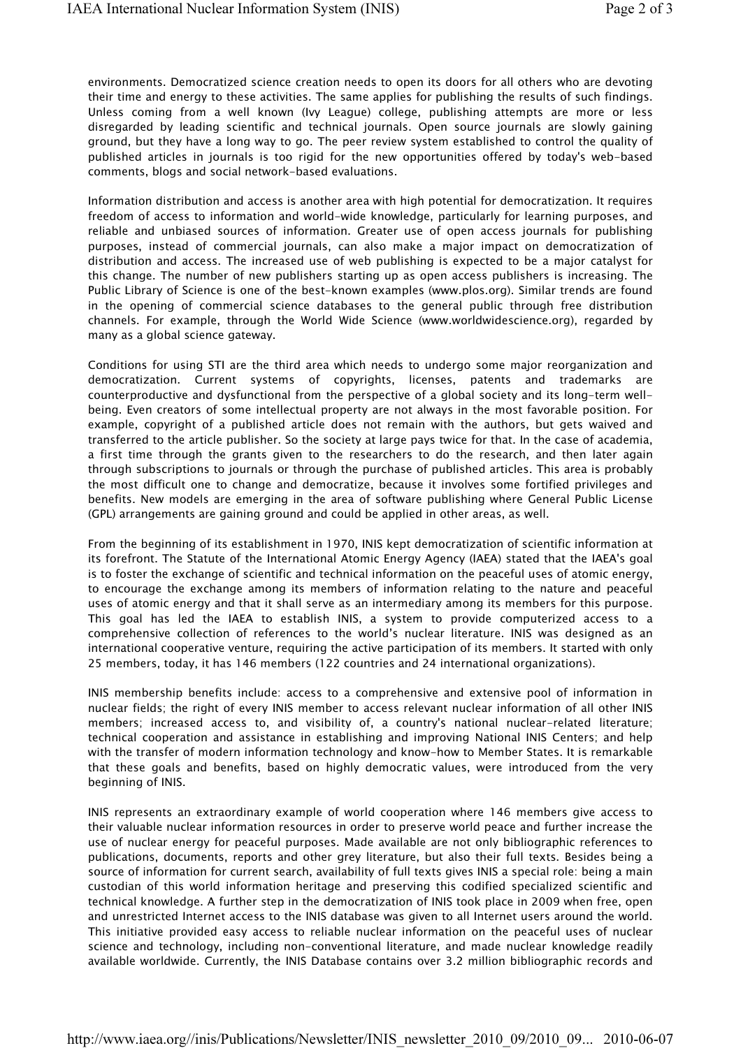environments. Democratized science creation needs to open its doors for all others who are devoting their time and energy to these activities. The same applies for publishing the results of such findings. Unless coming from a well known (Ivy League) college, publishing attempts are more or less disregarded by leading scientific and technical journals. Open source journals are slowly gaining ground, but they have a long way to go. The peer review system established to control the quality of published articles in journals is too rigid for the new opportunities offered by today's web-based comments, blogs and social network-based evaluations.

Information distribution and access is another area with high potential for democratization. It requires freedom of access to information and world-wide knowledge, particularly for learning purposes, and reliable and unbiased sources of information. Greater use of open access journals for publishing purposes, instead of commercial journals, can also make a major impact on democratization of distribution and access. The increased use of web publishing is expected to be a major catalyst for this change. The number of new publishers starting up as open access publishers is increasing. The Public Library of Science is one of the best-known examples (www.plos.org). Similar trends are found in the opening of commercial science databases to the general public through free distribution channels. For example, through the World Wide Science (www.worldwidescience.org), regarded by many as a global science gateway.

Conditions for using STI are the third area which needs to undergo some major reorganization and democratization. Current systems of copyrights, licenses, patents and trademarks are counterproductive and dysfunctional from the perspective of a global society and its long-term wellbeing. Even creators of some intellectual property are not always in the most favorable position. For example, copyright of a published article does not remain with the authors, but gets waived and transferred to the article publisher. So the society at large pays twice for that. In the case of academia, a first time through the grants given to the researchers to do the research, and then later again through subscriptions to journals or through the purchase of published articles. This area is probably the most difficult one to change and democratize, because it involves some fortified privileges and benefits. New models are emerging in the area of software publishing where General Public License (GPL) arrangements are gaining ground and could be applied in other areas, as well.

From the beginning of its establishment in 1970, INIS kept democratization of scientific information at its forefront. The Statute of the International Atomic Energy Agency (IAEA) stated that the IAEA's goal is to foster the exchange of scientific and technical information on the peaceful uses of atomic energy, to encourage the exchange among its members of information relating to the nature and peaceful uses of atomic energy and that it shall serve as an intermediary among its members for this purpose. This goal has led the IAEA to establish INIS, a system to provide computerized access to a comprehensive collection of references to the world's nuclear literature. INIS was designed as an international cooperative venture, requiring the active participation of its members. It started with only 25 members, today, it has 146 members (122 countries and 24 international organizations).

INIS membership benefits include: access to a comprehensive and extensive pool of information in nuclear fields; the right of every INIS member to access relevant nuclear information of all other INIS members; increased access to, and visibility of, a country's national nuclear-related literature; technical cooperation and assistance in establishing and improving National INIS Centers; and help with the transfer of modern information technology and know-how to Member States. It is remarkable that these goals and benefits, based on highly democratic values, were introduced from the very beginning of INIS.

INIS represents an extraordinary example of world cooperation where 146 members give access to their valuable nuclear information resources in order to preserve world peace and further increase the use of nuclear energy for peaceful purposes. Made available are not only bibliographic references to publications, documents, reports and other grey literature, but also their full texts. Besides being a source of information for current search, availability of full texts gives INIS a special role: being a main custodian of this world information heritage and preserving this codified specialized scientific and technical knowledge. A further step in the democratization of INIS took place in 2009 when free, open and unrestricted Internet access to the INIS database was given to all Internet users around the world. This initiative provided easy access to reliable nuclear information on the peaceful uses of nuclear science and technology, including non-conventional literature, and made nuclear knowledge readily available worldwide. Currently, the INIS Database contains over 3.2 million bibliographic records and